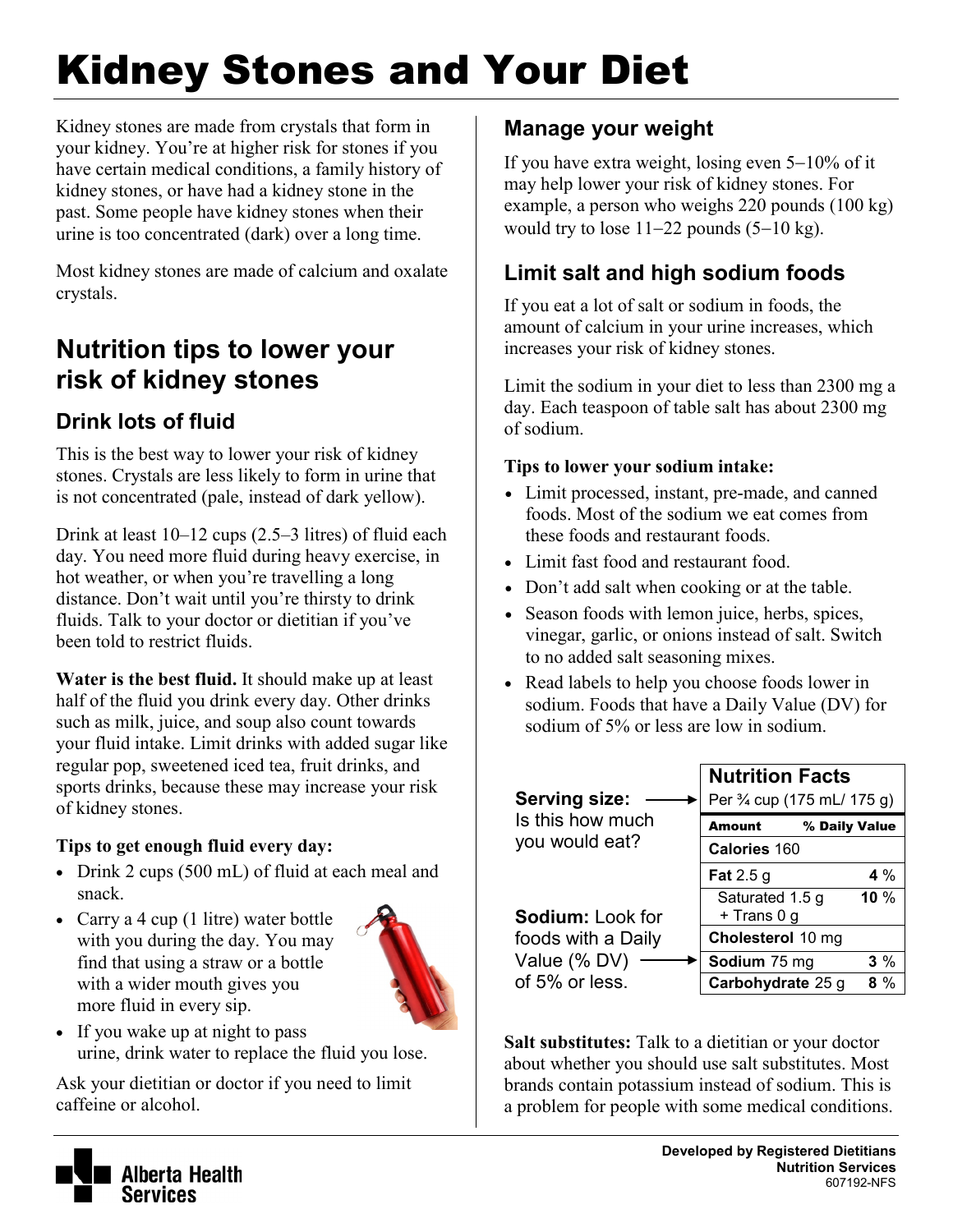# Kidney Stones and Your Diet

Kidney stones are made from crystals that form in your kidney. You're at higher risk for stones if you have certain medical conditions, a family history of kidney stones, or have had a kidney stone in the past. Some people have kidney stones when their urine is too concentrated (dark) over a long time.

Most kidney stones are made of calcium and oxalate crystals.

# **Nutrition tips to lower your risk of kidney stones**

## **Drink lots of fluid**

This is the best way to lower your risk of kidney stones. Crystals are less likely to form in urine that is not concentrated (pale, instead of dark yellow).

Drink at least 10–12 cups (2.5–3 litres) of fluid each day. You need more fluid during heavy exercise, in hot weather, or when you're travelling a long distance. Don't wait until you're thirsty to drink fluids. Talk to your doctor or dietitian if you've been told to restrict fluids.

**Water is the best fluid.** It should make up at least half of the fluid you drink every day. Other drinks such as milk, juice, and soup also count towards your fluid intake. Limit drinks with added sugar like regular pop, sweetened iced tea, fruit drinks, and sports drinks, because these may increase your risk of kidney stones.

#### **Tips to get enough fluid every day:**

- Drink 2 cups (500 mL) of fluid at each meal and snack.
- Carry a 4 cup (1 litre) water bottle with you during the day. You may find that using a straw or a bottle with a wider mouth gives you more fluid in every sip.



• If you wake up at night to pass urine, drink water to replace the fluid you lose.

Ask your dietitian or doctor if you need to limit caffeine or alcohol.

## **Manage your weight**

If you have extra weight, losing even 5−10% of it may help lower your risk of kidney stones. For example, a person who weighs 220 pounds (100 kg) would try to lose  $11-22$  pounds  $(5-10 \text{ kg})$ .

## **Limit salt and high sodium foods**

If you eat a lot of salt or sodium in foods, the amount of calcium in your urine increases, which increases your risk of kidney stones.

Limit the sodium in your diet to less than 2300 mg a day. Each teaspoon of table salt has about 2300 mg of sodium.

#### **Tips to lower your sodium intake:**

- Limit processed, instant, pre-made, and canned foods. Most of the sodium we eat comes from these foods and restaurant foods.
- Limit fast food and restaurant food.
- Don't add salt when cooking or at the table.
- Season foods with lemon juice, herbs, spices, vinegar, garlic, or onions instead of salt. Switch to no added salt seasoning mixes.
- Read labels to help you choose foods lower in sodium. Foods that have a Daily Value (DV) for sodium of 5% or less are low in sodium.

| <b>Serving size:</b><br>Is this how much<br>you would eat?<br>Sodium: Look for<br>foods with a Daily<br>Value (% DV)<br>of 5% or less. | <b>Nutrition Facts</b><br>Per 3⁄4 cup (175 mL/ 175 g) |       |
|----------------------------------------------------------------------------------------------------------------------------------------|-------------------------------------------------------|-------|
|                                                                                                                                        | % Daily Value<br><b>Amount</b>                        |       |
|                                                                                                                                        | Calories 160                                          |       |
|                                                                                                                                        | Fat $2.5g$                                            | 4 $%$ |
|                                                                                                                                        | Saturated 1.5 g<br>+ Trans 0 g                        | 10%   |
|                                                                                                                                        | Cholesterol 10 mg                                     |       |
|                                                                                                                                        | Sodium 75 mg                                          | $3\%$ |
|                                                                                                                                        | Carbohydrate 25 g                                     | 8 %   |

**Salt substitutes:** Talk to a dietitian or your doctor about whether you should use salt substitutes. Most brands contain potassium instead of sodium. This is a problem for people with some medical conditions.